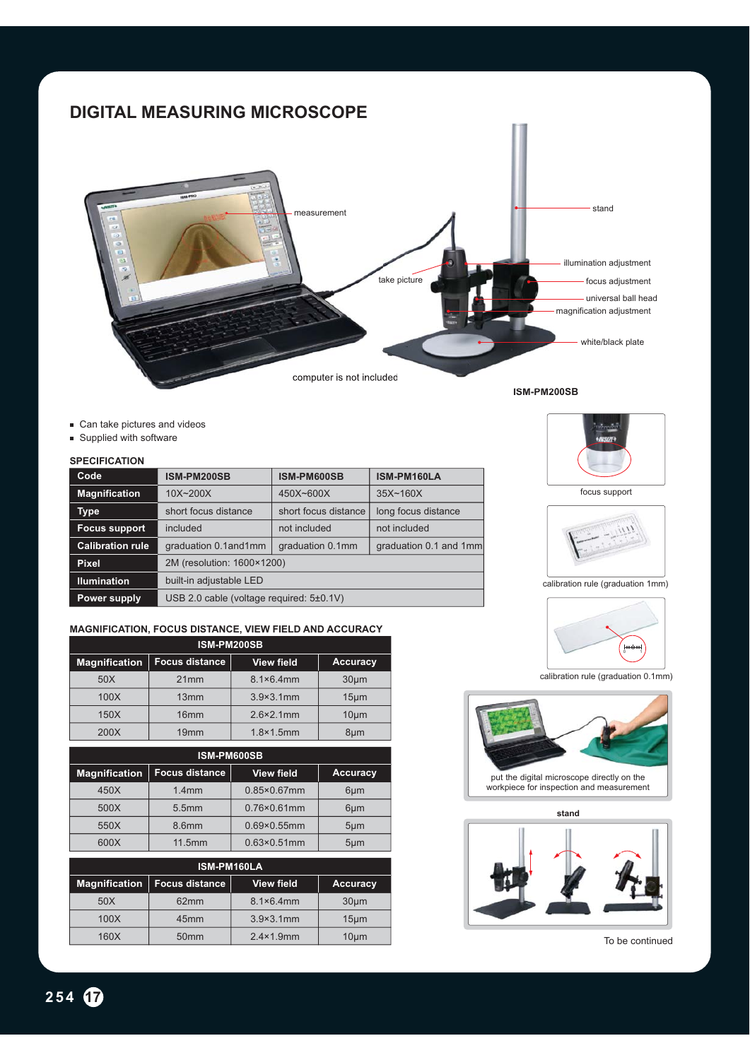# **DIGITAL MEASURING MICROSCOPE**



- Can take pictures and videos
- **Supplied with software**

#### **SPECIFICATION**

| Code                    | ISM-PM200SB                              | ISM-PM600SB          | ISM-PM160LA            |
|-------------------------|------------------------------------------|----------------------|------------------------|
| <b>Magnification</b>    | $10X - 200X$                             | 450X~600X            | $35X \sim 160X$        |
| Type                    | short focus distance                     | short focus distance | long focus distance    |
| <b>Focus support</b>    | included                                 | not included         | not included           |
| <b>Calibration rule</b> | graduation 0.1and1mm                     | graduation 0.1mm     | graduation 0.1 and 1mm |
| <b>Pixel</b>            | 2M (resolution: 1600×1200)               |                      |                        |
| <b>Ilumination</b>      | built-in adjustable LED                  |                      |                        |
| Power supply            | USB 2.0 cable (voltage required: 5±0.1V) |                      |                        |

### **MAGNIFICATION, FOCUS DISTANCE, VIEW FIELD AND ACCURACY**

| ISM-PM200SB          |                       |                     |                   |  |  |
|----------------------|-----------------------|---------------------|-------------------|--|--|
| <b>Magnification</b> | <b>Focus distance</b> | <b>View field</b>   | <b>Accuracy</b>   |  |  |
| 50X                  | 21mm                  | $8.1 \times 6.4$ mm | $30µ$ m           |  |  |
| 100X                 | 13mm                  | $3.9 \times 3.1$ mm | 15 <sub>µ</sub> m |  |  |
| 150X                 | 16 <sub>mm</sub>      | $2.6 \times 2.1$ mm | 10 <sub>µ</sub>   |  |  |
| 200X                 | 19mm                  | $1.8 \times 1.5$ mm | 8um               |  |  |

| ISM-PM600SB   |                       |                       |                  |  |  |
|---------------|-----------------------|-----------------------|------------------|--|--|
| Magnification | <b>Focus distance</b> | <b>View field</b>     | <b>Accuracy</b>  |  |  |
| 450X          | $1.4$ mm              | $0.85 \times 0.67$ mm | $6 \mu m$        |  |  |
| 500X          | 5.5mm                 | $0.76 \times 0.61$ mm | $6 \mu m$        |  |  |
| 550X          | 8.6mm                 | $0.69 \times 0.55$ mm | 5 <sub>µ</sub> m |  |  |
| 600X          | 11.5mm                | $0.63 \times 0.51$ mm | $5 \mu m$        |  |  |

| <b>ISM-PM160LA</b>   |                       |                     |                   |  |  |
|----------------------|-----------------------|---------------------|-------------------|--|--|
| <b>Magnification</b> | <b>Focus distance</b> | <b>View field</b>   | Accuracy          |  |  |
| 50X                  | 62mm                  | $8.1 \times 6.4$ mm | 30 <sub>µ</sub> m |  |  |
| 100X                 | 45 <sub>mm</sub>      | $3.9 \times 3.1$ mm | $15 \mu m$        |  |  |
| 160X                 | 50 <sub>mm</sub>      | $2.4 \times 1.9$ mm | 10 <sub>µ</sub> m |  |  |

focus support



calibration rule (graduation 1mm)



calibration rule (graduation 0.1mm)